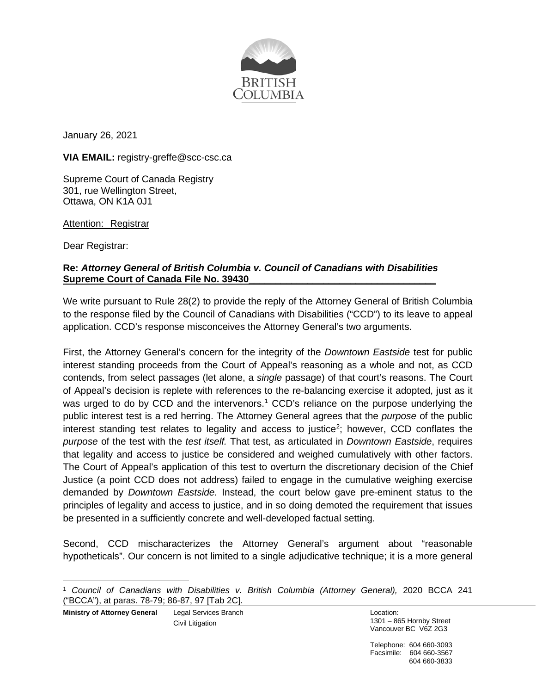

January 26, 2021

**VIA EMAIL:** registry-greffe@scc-csc.ca

Supreme Court of Canada Registry 301, rue Wellington Street, Ottawa, ON K1A 0J1

Attention: Registrar

Dear Registrar:

## **Re:** *Attorney General of British Columbia v. Council of Canadians with Disabilities* **Supreme Court of Canada File No. 39430\_\_\_\_\_\_\_\_\_\_\_\_\_\_\_\_\_\_\_\_\_\_\_\_\_\_\_\_\_\_\_\_\_\_\_**

We write pursuant to Rule 28(2) to provide the reply of the Attorney General of British Columbia to the response filed by the Council of Canadians with Disabilities ("CCD") to its leave to appeal application. CCD's response misconceives the Attorney General's two arguments.

First, the Attorney General's concern for the integrity of the *Downtown Eastside* test for public interest standing proceeds from the Court of Appeal's reasoning as a whole and not, as CCD contends, from select passages (let alone, a *single* passage) of that court's reasons. The Court of Appeal's decision is replete with references to the re-balancing exercise it adopted, just as it was urged to do by CCD and the intervenors.<sup>[1](#page-0-0)</sup> CCD's reliance on the purpose underlying the public interest test is a red herring. The Attorney General agrees that the *purpose* of the public interest standing test relates to legality and access to justice<sup>[2](#page-0-1)</sup>; however, CCD conflates the *purpose* of the test with the *test itself.* That test, as articulated in *Downtown Eastside*, requires that legality and access to justice be considered and weighed cumulatively with other factors. The Court of Appeal's application of this test to overturn the discretionary decision of the Chief Justice (a point CCD does not address) failed to engage in the cumulative weighing exercise demanded by *Downtown Eastside.* Instead, the court below gave pre-eminent status to the principles of legality and access to justice, and in so doing demoted the requirement that issues be presented in a sufficiently concrete and well-developed factual setting.

<span id="page-0-1"></span>Second, CCD mischaracterizes the Attorney General's argument about "reasonable hypotheticals". Our concern is not limited to a single adjudicative technique; it is a more general

Telephone: 604 660-3093 Facsimile: 604 660-3567 604 660-3833

<span id="page-0-0"></span><sup>1</sup> *Council of Canadians with Disabilities v. British Columbia (Attorney General),* 2020 BCCA 241 ("BCCA"), at paras. 78-79; 86-87, 97 [Tab 2C].